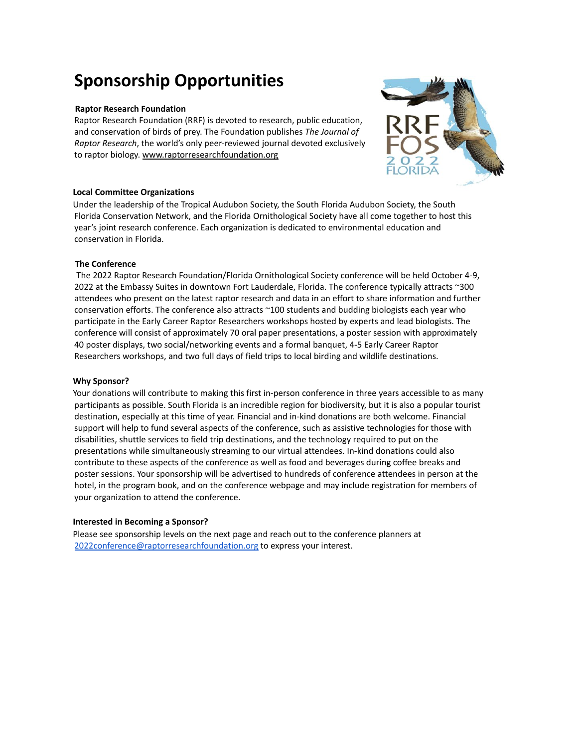# **Sponsorship Opportunities**

### **Raptor Research Foundation**

Raptor Research Foundation (RRF) is devoted to research, public education, and conservation of birds of prey. The Foundation publishes *The Journal of Raptor Research*, the world's only peer-reviewed journal devoted exclusively to raptor biology. [www.raptorresearchfoundation.org](http://www.raptorresearchfoundation.org/)

# **Local Committee Organizations**

Under the leadership of the Tropical Audubon Society, the South Florida Audubon Society, the South Florida Conservation Network, and the Florida Ornithological Society have all come together to host this year's joint research conference. Each organization is dedicated to environmental education and conservation in Florida.

# **The Conference**

The 2022 Raptor Research Foundation/Florida Ornithological Society conference will be held October 4-9, 2022 at the Embassy Suites in downtown Fort Lauderdale, Florida. The conference typically attracts ~300 attendees who present on the latest raptor research and data in an effort to share information and further conservation efforts. The conference also attracts ~100 students and budding biologists each year who participate in the Early Career Raptor Researchers workshops hosted by experts and lead biologists. The conference will consist of approximately 70 oral paper presentations, a poster session with approximately 40 poster displays, two social/networking events and a formal banquet, 4-5 Early Career Raptor Researchers workshops, and two full days of field trips to local birding and wildlife destinations.

#### **Why Sponsor?**

Your donations will contribute to making this first in-person conference in three years accessible to as many participants as possible. South Florida is an incredible region for biodiversity, but it is also a popular tourist destination, especially at this time of year. Financial and in-kind donations are both welcome. Financial support will help to fund several aspects of the conference, such as assistive technologies for those with disabilities, shuttle services to field trip destinations, and the technology required to put on the presentations while simultaneously streaming to our virtual attendees. In-kind donations could also contribute to these aspects of the conference as well as food and beverages during coffee breaks and poster sessions. Your sponsorship will be advertised to hundreds of conference attendees in person at the hotel, in the program book, and on the conference webpage and may include registration for members of your organization to attend the conference.

#### **Interested in Becoming a Sponsor?**

Please see sponsorship levels on the next page and reach out to the conference planners at [2022conference@raptorresearchfoundation.org](mailto:2022conference@raptorresearchfoundation.org) to express your interest.